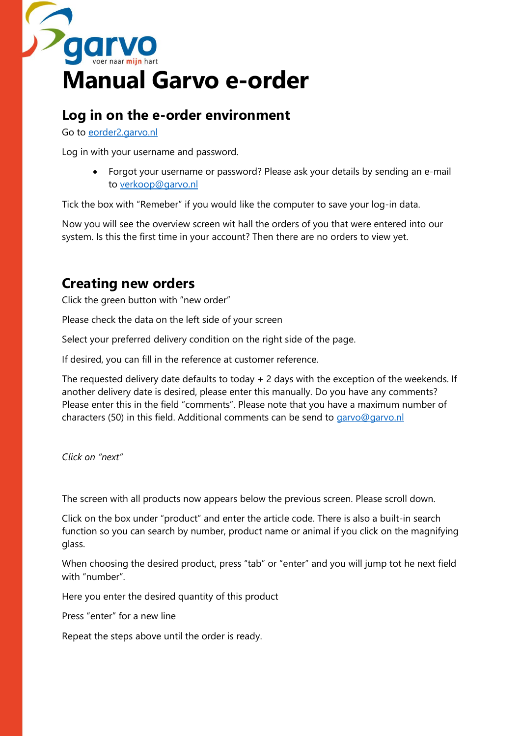

# **Log in on the e-order environment**

Go to [eorder2.garvo.nl](http://www.eorder2.garvo.nl/)

Log in with your username and password.

• Forgot your username or password? Please ask your details by sending an e-mail to [verkoop@garvo.nl](mailto:verkoop@garvo.nl)

Tick the box with "Remeber" if you would like the computer to save your log-in data.

Now you will see the overview screen wit hall the orders of you that were entered into our system. Is this the first time in your account? Then there are no orders to view yet.

# **Creating new orders**

Click the green button with "new order"

Please check the data on the left side of your screen

Select your preferred delivery condition on the right side of the page.

If desired, you can fill in the reference at customer reference.

The requested delivery date defaults to today + 2 days with the exception of the weekends. If another delivery date is desired, please enter this manually. Do you have any comments? Please enter this in the field "comments". Please note that you have a maximum number of characters (50) in this field. Additional comments can be send to [garvo@garvo.nl](mailto:garvo@garvo.nl)

*Click on "next"*

The screen with all products now appears below the previous screen. Please scroll down.

Click on the box under "product" and enter the article code. There is also a built-in search function so you can search by number, product name or animal if you click on the magnifying glass.

When choosing the desired product, press "tab" or "enter" and you will jump tot he next field with "number".

Here you enter the desired quantity of this product

Press "enter" for a new line

Repeat the steps above until the order is ready.